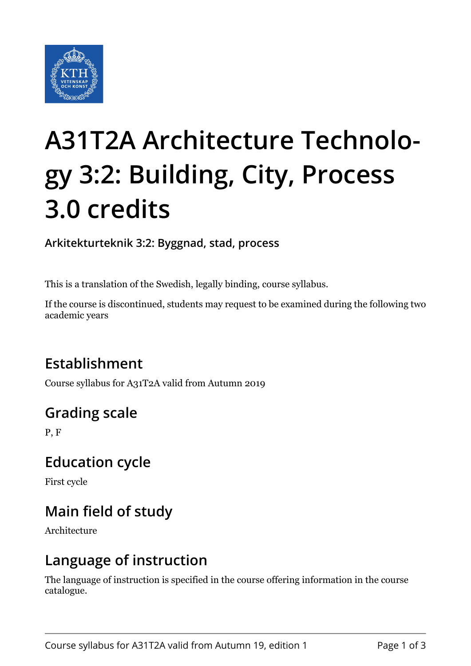

# **A31T2A Architecture Technology 3:2: Building, City, Process 3.0 credits**

**Arkitekturteknik 3:2: Byggnad, stad, process**

This is a translation of the Swedish, legally binding, course syllabus.

If the course is discontinued, students may request to be examined during the following two academic years

# **Establishment**

Course syllabus for A31T2A valid from Autumn 2019

# **Grading scale**

P, F

## **Education cycle**

First cycle

# **Main field of study**

Architecture

## **Language of instruction**

The language of instruction is specified in the course offering information in the course catalogue.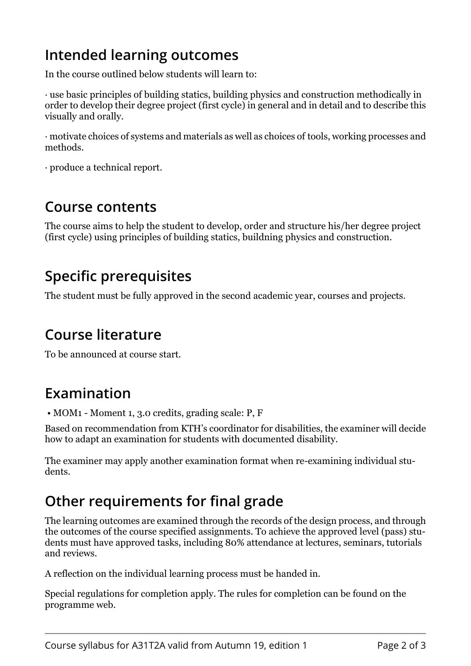# **Intended learning outcomes**

In the course outlined below students will learn to:

· use basic principles of building statics, building physics and construction methodically in order to develop their degree project (first cycle) in general and in detail and to describe this visually and orally.

 $\cdot$  motivate choices of systems and materials as well as choices of tools, working processes and methods.

·)produce a technical report.

#### **Course contents**

The course aims to help the student to develop, order and structure his/her degree project (first cycle) using principles of building statics, buildning physics and construction.

## **Specific prerequisites**

The student must be fully approved in the second academic year, courses and projects.

## **Course literature**

To be announced at course start.

## **Examination**

 $\bullet$  MOM1 - Moment 1, 3.0 credits, grading scale: P, F

Based on recommendation from KTH's coordinator for disabilities, the examiner will decide how to adapt an examination for students with documented disability.

The examiner may apply another examination format when re-examining individual students.

# **Other requirements for final grade**

The learning outcomes are examined through the records of the design process, and through the outcomes of the course specified assignments. To achieve the approved level (pass) students must have approved tasks, including 80% attendance at lectures, seminars, tutorials and reviews.

A reflection on the individual learning process must be handed in.

Special regulations for completion apply. The rules for completion can be found on the programme web.